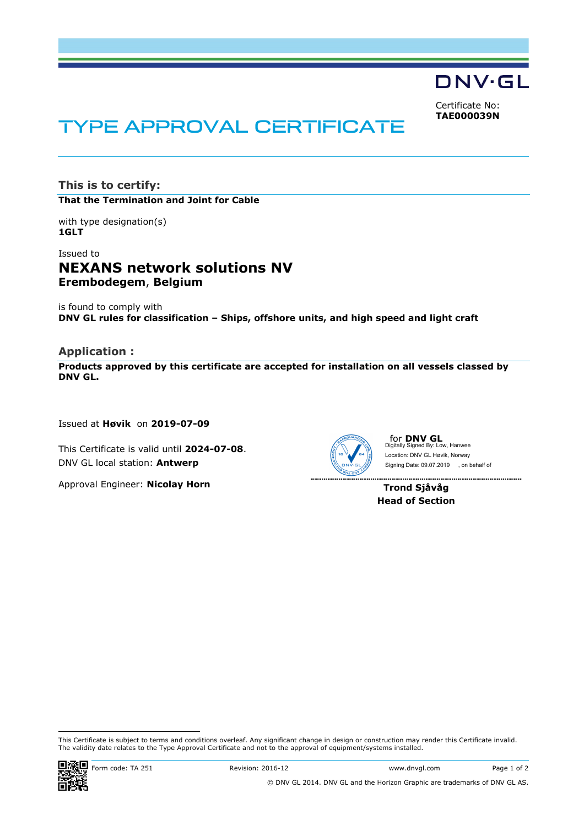DNV·GL

Certificate No: **TAE000039N**

# TYPE APPROVAL CERTIFICATE

**This is to certify: That the Termination and Joint for Cable**

with type designation(s) **1GLT**

## Issued to **NEXANS network solutions NV Erembodegem**, **Belgium**

is found to comply with **DNV GL rules for classification – Ships, offshore units, and high speed and light craft**

## **Application :**

**Products approved by this certificate are accepted for installation on all vessels classed by DNV GL.** 

Issued at **Høvik** on **2019-07-09**

This Certificate is valid until **2024-07-08**. DNV GL local station: **Antwerp**

Approval Engineer: **Nicolay Horn**



for **DNV GL** Digitally Signed By: Low, Hanwee Signing Date: 09.07.2019 , on behalf ofLocation: DNV GL Høvik, Norway

**Trond Sjåvåg Head of Section**

 This Certificate is subject to terms and conditions overleaf. Any significant change in design or construction may render this Certificate invalid. The validity date relates to the Type Approval Certificate and not to the approval of equipment/systems installed.

. . . . . . . . . . . . . . . . .